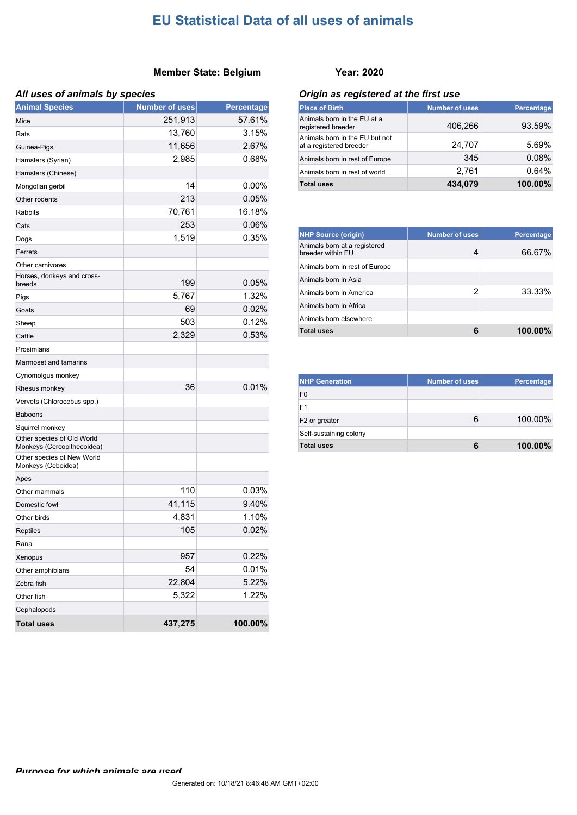#### **Member State: Belgium Year: 2020**

#### *All uses of animals by species*

| <b>Animal Species</b>                                    | <b>Number of uses</b> | <b>Percentage</b> |
|----------------------------------------------------------|-----------------------|-------------------|
| Mice                                                     | 251,913               | 57.61%            |
| Rats                                                     | 13,760                | 3.15%             |
| Guinea-Pigs                                              | 11,656                | 2.67%             |
| Hamsters (Syrian)                                        | 2,985                 | 0.68%             |
| Hamsters (Chinese)                                       |                       |                   |
| Mongolian gerbil                                         | 14                    | 0.00%             |
| Other rodents                                            | 213                   | 0.05%             |
| Rabbits                                                  | 70,761                | 16.18%            |
| Cats                                                     | 253                   | 0.06%             |
| Dogs                                                     | 1,519                 | 0.35%             |
| Ferrets                                                  |                       |                   |
| Other carnivores                                         |                       |                   |
| Horses, donkeys and cross-<br>breeds                     | 199                   | 0.05%             |
| Pigs                                                     | 5,767                 | 1.32%             |
| Goats                                                    | 69                    | 0.02%             |
| Sheep                                                    | 503                   | 0.12%             |
| Cattle                                                   | 2,329                 | 0.53%             |
| Prosimians                                               |                       |                   |
| Marmoset and tamarins                                    |                       |                   |
| Cynomolgus monkey                                        |                       |                   |
| Rhesus monkey                                            | 36                    | 0.01%             |
| Vervets (Chlorocebus spp.)                               |                       |                   |
| <b>Baboons</b>                                           |                       |                   |
| Squirrel monkey                                          |                       |                   |
| Other species of Old World<br>Monkeys (Cercopithecoidea) |                       |                   |
| Other species of New World<br>Monkeys (Ceboidea)         |                       |                   |
| Apes                                                     |                       |                   |
| Other mammals                                            | 110                   | 0.03%             |
| Domestic fowl                                            | 41,115                | 9.40%             |
| Other birds                                              | 4,831                 | 1.10%             |
| <b>Reptiles</b>                                          | 105                   | 0.02%             |
| Rana                                                     |                       |                   |
| Xenopus                                                  | 957                   | 0.22%             |
| Other amphibians                                         | 54                    | 0.01%             |
| Zebra fish                                               | 22,804                | 5.22%             |
| Other fish                                               | 5,322                 | 1.22%             |
| Cephalopods                                              |                       |                   |
| <b>Total uses</b>                                        | 437,275               | 100.00%           |

#### *Origin as registered at the first use*

| <b>Place of Birth</b>                                     | <b>Number of uses</b> | Percentage |
|-----------------------------------------------------------|-----------------------|------------|
| Animals born in the EU at a<br>registered breeder         | 406,266               | 93.59%     |
| Animals born in the EU but not<br>at a registered breeder | 24,707                | 5.69%      |
| Animals born in rest of Europe                            | 345                   | 0.08%      |
| Animals born in rest of world                             | 2.761                 | 0.64%      |
| <b>Total uses</b>                                         | 434,079               | 100.00%    |

| <b>NHP Source (origin)</b>                        | Number of uses | Percentage |
|---------------------------------------------------|----------------|------------|
| Animals born at a registered<br>breeder within EU | 4              | 66.67%     |
| Animals born in rest of Europe                    |                |            |
| Animals born in Asia                              |                |            |
| Animals born in America                           | 2              | 33.33%     |
| Animals born in Africa                            |                |            |
| Animals born elsewhere                            |                |            |
| <b>Total uses</b>                                 |                | 100.00%    |

| <b>NHP Generation</b>     | Number of uses | Percentage |
|---------------------------|----------------|------------|
| F <sub>0</sub>            |                |            |
| F1                        |                |            |
| F <sub>2</sub> or greater | 6              | 100.00%    |
| Self-sustaining colony    |                |            |
| <b>Total uses</b>         | 6              | 100.00%    |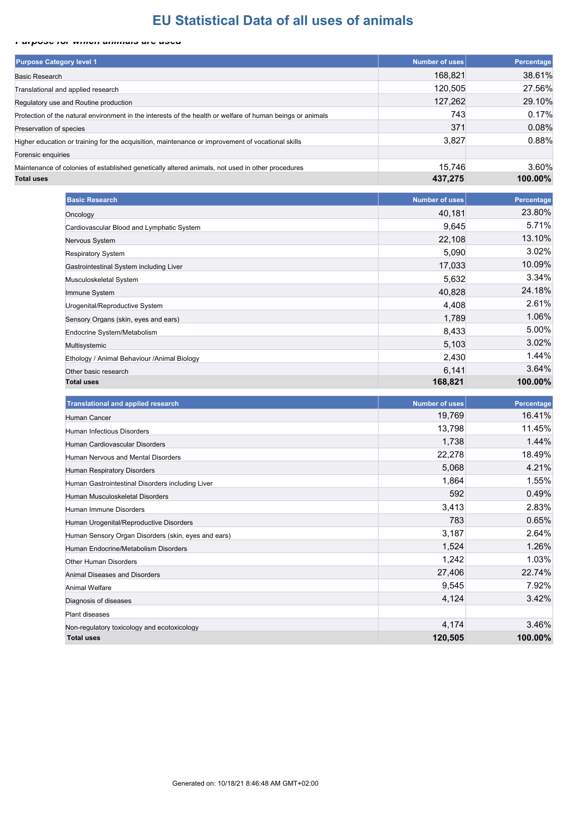#### *Purpose for which animals are used*

| <b>Purpose Category level 1</b>                                                                            | Number of uses | Percentage |
|------------------------------------------------------------------------------------------------------------|----------------|------------|
| <b>Basic Research</b>                                                                                      | 168,821        | 38.61%     |
| Translational and applied research                                                                         | 120.505        | 27.56%     |
| Regulatory use and Routine production                                                                      | 127,262        | 29.10%     |
| Protection of the natural environment in the interests of the health or welfare of human beings or animals | 743            | 0.17%      |
| Preservation of species                                                                                    | 371            | 0.08%      |
| Higher education or training for the acquisition, maintenance or improvement of vocational skills          | 3,827          | 0.88%      |
| Forensic enquiries                                                                                         |                |            |
| Maintenance of colonies of established genetically altered animals, not used in other procedures           | 15.746         | 3.60%      |
| <b>Total uses</b>                                                                                          | 437,275        | 100.00%    |

| <b>Basic Research</b>                        | <b>Number of uses</b> | Percentage |
|----------------------------------------------|-----------------------|------------|
| Oncology                                     | 40,181                | 23.80%     |
| Cardiovascular Blood and Lymphatic System    | 9,645                 | 5.71%      |
| Nervous System                               | 22,108                | 13.10%     |
| <b>Respiratory System</b>                    | 5,090                 | 3.02%      |
| Gastrointestinal System including Liver      | 17,033                | 10.09%     |
| Musculoskeletal System                       | 5,632                 | 3.34%      |
| Immune System                                | 40,828                | 24.18%     |
| Urogenital/Reproductive System               | 4,408                 | 2.61%      |
| Sensory Organs (skin, eyes and ears)         | 1,789                 | 1.06%      |
| Endocrine System/Metabolism                  | 8,433                 | 5.00%      |
| Multisystemic                                | 5,103                 | 3.02%      |
| Ethology / Animal Behaviour / Animal Biology | 2,430                 | 1.44%      |
| Other basic research                         | 6,141                 | 3.64%      |
| <b>Total uses</b>                            | 168,821               | 100.00%    |

| <b>Translational and applied research</b>           | <b>Number of uses</b> | Percentage |
|-----------------------------------------------------|-----------------------|------------|
| Human Cancer                                        | 19,769                | 16.41%     |
| Human Infectious Disorders                          | 13,798                | 11.45%     |
| Human Cardiovascular Disorders                      | 1,738                 | 1.44%      |
| Human Nervous and Mental Disorders                  | 22,278                | 18.49%     |
| Human Respiratory Disorders                         | 5,068                 | 4.21%      |
| Human Gastrointestinal Disorders including Liver    | 1,864                 | 1.55%      |
| Human Musculoskeletal Disorders                     | 592                   | 0.49%      |
| Human Immune Disorders                              | 3,413                 | 2.83%      |
| Human Urogenital/Reproductive Disorders             | 783                   | 0.65%      |
| Human Sensory Organ Disorders (skin, eyes and ears) | 3,187                 | 2.64%      |
| Human Endocrine/Metabolism Disorders                | 1,524                 | 1.26%      |
| <b>Other Human Disorders</b>                        | 1,242                 | 1.03%      |
| <b>Animal Diseases and Disorders</b>                | 27,406                | 22.74%     |
| Animal Welfare                                      | 9,545                 | 7.92%      |
| Diagnosis of diseases                               | 4,124                 | 3.42%      |
| Plant diseases                                      |                       |            |
| Non-regulatory toxicology and ecotoxicology         | 4,174                 | 3.46%      |
| <b>Total uses</b>                                   | 120,505               | 100.00%    |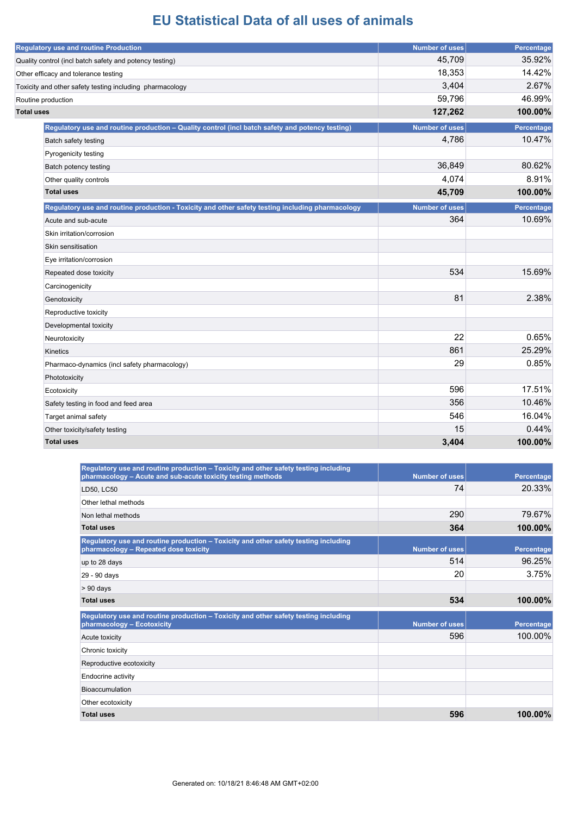|                   | <b>Regulatory use and routine Production</b>                                                     | <b>Number of uses</b> | Percentage |
|-------------------|--------------------------------------------------------------------------------------------------|-----------------------|------------|
|                   | Quality control (incl batch safety and potency testing)                                          | 45,709                | 35.92%     |
|                   | Other efficacy and tolerance testing                                                             | 18,353                | 14.42%     |
|                   | Toxicity and other safety testing including pharmacology                                         | 3,404                 | 2.67%      |
|                   | Routine production                                                                               | 59,796                | 46.99%     |
| <b>Total uses</b> |                                                                                                  | 127,262               | 100.00%    |
|                   | Regulatory use and routine production - Quality control (incl batch safety and potency testing)  | <b>Number of uses</b> | Percentage |
|                   | Batch safety testing                                                                             | 4,786                 | 10.47%     |
|                   | Pyrogenicity testing                                                                             |                       |            |
|                   | Batch potency testing                                                                            | 36,849                | 80.62%     |
|                   | Other quality controls                                                                           | 4,074                 | 8.91%      |
|                   | <b>Total uses</b>                                                                                | 45,709                | 100.00%    |
|                   | Regulatory use and routine production - Toxicity and other safety testing including pharmacology | <b>Number of uses</b> | Percentage |
|                   | Acute and sub-acute                                                                              | 364                   | 10.69%     |
|                   | Skin irritation/corrosion                                                                        |                       |            |
|                   | Skin sensitisation                                                                               |                       |            |
|                   | Eye irritation/corrosion                                                                         |                       |            |
|                   | Repeated dose toxicity                                                                           | 534                   | 15.69%     |
|                   | Carcinogenicity                                                                                  |                       |            |
|                   | Genotoxicity                                                                                     | 81                    | 2.38%      |
|                   | Reproductive toxicity                                                                            |                       |            |
|                   | Developmental toxicity                                                                           |                       |            |
|                   | Neurotoxicity                                                                                    | 22                    | 0.65%      |
|                   | Kinetics                                                                                         | 861                   | 25.29%     |
|                   | Pharmaco-dynamics (incl safety pharmacology)                                                     | 29                    | 0.85%      |
|                   | Phototoxicity                                                                                    |                       |            |
|                   | Ecotoxicity                                                                                      | 596                   | 17.51%     |
|                   | Safety testing in food and feed area                                                             | 356                   | 10.46%     |
|                   | Target animal safety                                                                             | 546                   | 16.04%     |
|                   | Other toxicity/safety testing                                                                    | 15                    | 0.44%      |
|                   | <b>Total uses</b>                                                                                | 3,404                 | 100.00%    |

| Regulatory use and routine production - Toxicity and other safety testing including<br>pharmacology - Acute and sub-acute toxicity testing methods | <b>Number of uses</b> | Percentage |
|----------------------------------------------------------------------------------------------------------------------------------------------------|-----------------------|------------|
| LD50, LC50                                                                                                                                         | 74                    | 20.33%     |
| Other lethal methods                                                                                                                               |                       |            |
| Non lethal methods                                                                                                                                 | 290                   | 79.67%     |
| <b>Total uses</b>                                                                                                                                  | 364                   | 100.00%    |
| Regulatory use and routine production - Toxicity and other safety testing including<br>pharmacology - Repeated dose toxicity                       | <b>Number of uses</b> | Percentage |
| up to 28 days                                                                                                                                      | 514                   | 96.25%     |
| 29 - 90 days                                                                                                                                       | 20                    | 3.75%      |
| > 90 days                                                                                                                                          |                       |            |
|                                                                                                                                                    |                       |            |
| <b>Total uses</b>                                                                                                                                  | 534                   | 100.00%    |
| Regulatory use and routine production – Toxicity and other safety testing including<br>pharmacology - Ecotoxicity                                  | <b>Number of uses</b> | Percentage |
| Acute toxicity                                                                                                                                     | 596                   | 100.00%    |
| Chronic toxicity                                                                                                                                   |                       |            |
| Reproductive ecotoxicity                                                                                                                           |                       |            |
| Endocrine activity                                                                                                                                 |                       |            |
| <b>Bioaccumulation</b>                                                                                                                             |                       |            |
| Other ecotoxicity                                                                                                                                  |                       |            |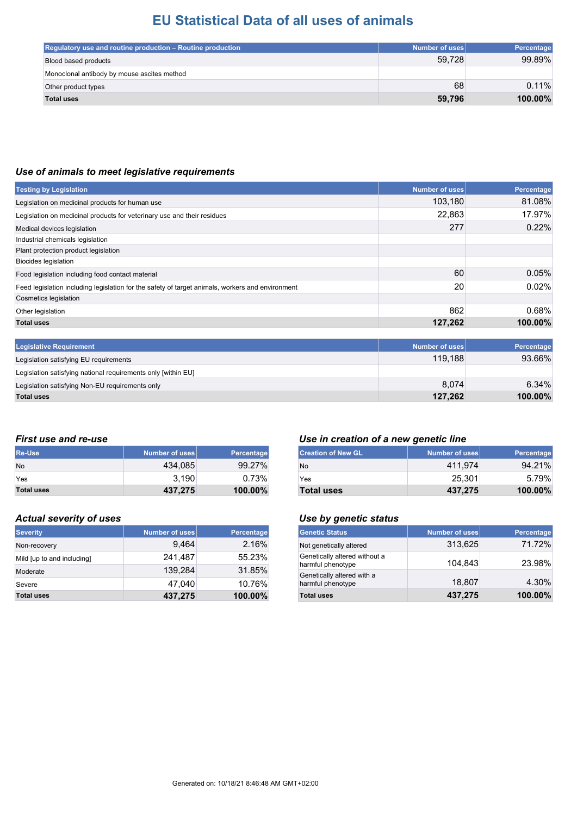| Regulatory use and routine production - Routine production | Number of uses | <b>Percentage</b> |
|------------------------------------------------------------|----------------|-------------------|
| Blood based products                                       | 59,728         | 99.89%            |
| Monoclonal antibody by mouse ascites method                |                |                   |
| Other product types                                        | 68             | 0.11%             |
| <b>Total uses</b>                                          | 59,796         | 100.00%           |

#### *Use of animals to meet legislative requirements*

| <b>Testing by Legislation</b>                                                                    | <b>Number of uses</b> | Percentage |
|--------------------------------------------------------------------------------------------------|-----------------------|------------|
| Legislation on medicinal products for human use                                                  | 103,180               | 81.08%     |
| Legislation on medicinal products for veterinary use and their residues                          | 22,863                | 17.97%     |
| Medical devices legislation                                                                      | 277                   | 0.22%      |
| Industrial chemicals legislation                                                                 |                       |            |
| Plant protection product legislation                                                             |                       |            |
| Biocides legislation                                                                             |                       |            |
| Food legislation including food contact material                                                 | 60                    | 0.05%      |
| Feed legislation including legislation for the safety of target animals, workers and environment | 20                    | 0.02%      |
| Cosmetics legislation                                                                            |                       |            |
| Other legislation                                                                                | 862                   | 0.68%      |
| <b>Total uses</b>                                                                                | 127,262               | 100.00%    |
|                                                                                                  |                       |            |
| <b>Legislative Requirement</b>                                                                   | <b>Number of uses</b> | Percentage |
| Legislation satisfying EU requirements                                                           | 119,188               | 93.66%     |
| Legislation satisfying national requirements only [within EU]                                    |                       |            |
| Legislation satisfying Non-EU requirements only                                                  | 8,074                 | 6.34%      |
| <b>Total uses</b>                                                                                | 127.262               | 100.00%    |

**Total uses 127,262 100.00%**

| <b>Re-Use</b>     | Number of uses | Percentage |
|-------------------|----------------|------------|
| <b>No</b>         | 434.085        | 99.27%     |
| Yes               | 3.190          | 0.73%      |
| <b>Total uses</b> | 437,275        | 100.00%    |

#### *Actual severity of uses Use by genetic status*

| <b>Severity</b>            | Number of uses | <b>Percentage</b> |
|----------------------------|----------------|-------------------|
| Non-recovery               | 9,464          | 2.16%             |
| Mild [up to and including] | 241,487        | 55.23%            |
| Moderate                   | 139.284        | 31.85%            |
| Severe                     | 47.040         | 10.76%            |
| <b>Total uses</b>          | 437,275        | 100.00%           |

### *First use and re-use Use in creation of a new genetic line*

| <b>Creation of New GL</b> | Number of uses | Percentage |
|---------------------------|----------------|------------|
| No                        | 411.974        | 94.21%     |
| Yes                       | 25.301         | 5.79%      |
| <b>Total uses</b>         | 437.275        | $100.00\%$ |

| <b>Genetic Status</b>                              | Number of uses | Percentage |
|----------------------------------------------------|----------------|------------|
| Not genetically altered                            | 313,625        | 71.72%     |
| Genetically altered without a<br>harmful phenotype | 104.843        | 23.98%     |
| Genetically altered with a<br>harmful phenotype    | 18,807         | 4.30%      |
| <b>Total uses</b>                                  | 437,275        | 100.00%    |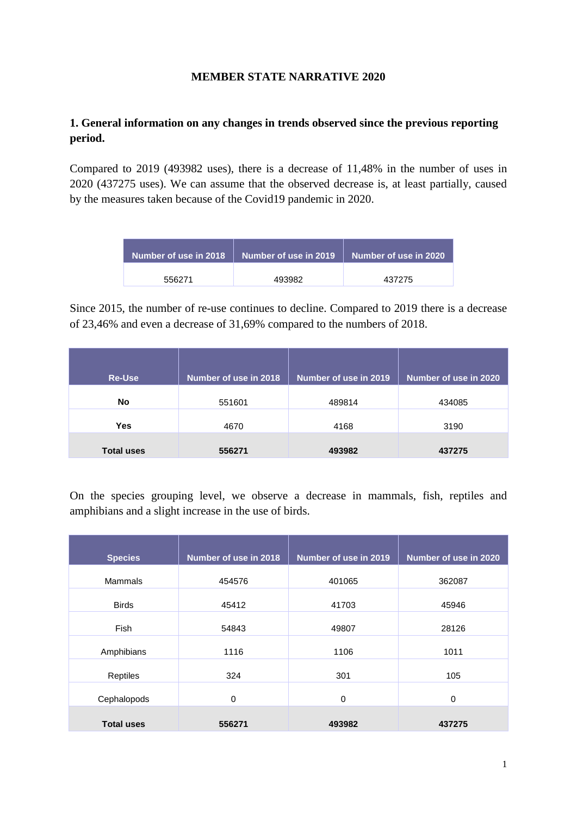## **MEMBER STATE NARRATIVE 2020**

# **1. General information on any changes in trends observed since the previous reporting period.**

Compared to 2019 (493982 uses), there is a decrease of 11,48% in the number of uses in 2020 (437275 uses). We can assume that the observed decrease is, at least partially, caused by the measures taken because of the Covid19 pandemic in 2020.

| Number of use in 2018 | $\parallel$ Number of use in 2019 $\parallel$ Number of use in 2020 |        |
|-----------------------|---------------------------------------------------------------------|--------|
| 556271                | 493982                                                              | 437275 |

Since 2015, the number of re-use continues to decline. Compared to 2019 there is a decrease of 23,46% and even a decrease of 31,69% compared to the numbers of 2018.

| <b>Re-Use</b>     | Number of use in 2018 | Number of use in 2019 | Number of use in 2020 |
|-------------------|-----------------------|-----------------------|-----------------------|
| No                | 551601                | 489814                | 434085                |
| <b>Yes</b>        | 4670                  | 4168                  | 3190                  |
| <b>Total uses</b> | 556271                | 493982                | 437275                |

On the species grouping level, we observe a decrease in mammals, fish, reptiles and amphibians and a slight increase in the use of birds.

| <b>Species</b>    | Number of use in 2018 | Number of use in 2019 | Number of use in 2020 |
|-------------------|-----------------------|-----------------------|-----------------------|
| Mammals           | 454576                | 401065                | 362087                |
| <b>Birds</b>      | 45412                 | 41703                 | 45946                 |
| <b>Fish</b>       | 54843                 | 49807                 | 28126                 |
| Amphibians        | 1116                  | 1106                  | 1011                  |
| Reptiles          | 324                   | 301                   | 105                   |
| Cephalopods       | $\mathbf 0$           | $\mathbf 0$           | $\Omega$              |
| <b>Total uses</b> | 556271                | 493982                | 437275                |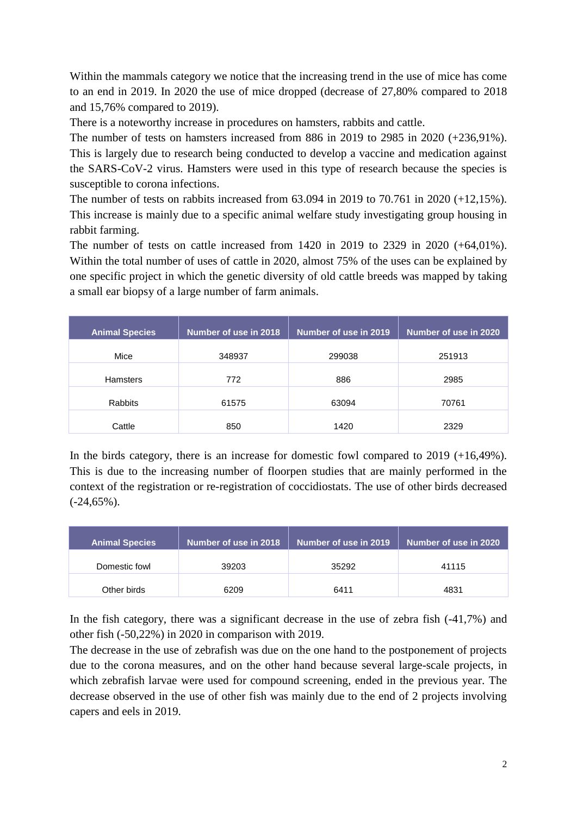Within the mammals category we notice that the increasing trend in the use of mice has come to an end in 2019. In 2020 the use of mice dropped (decrease of 27,80% compared to 2018 and 15,76% compared to 2019).

There is a noteworthy increase in procedures on hamsters, rabbits and cattle.

The number of tests on hamsters increased from 886 in 2019 to 2985 in 2020 (+236,91%). This is largely due to research being conducted to develop a vaccine and medication against the SARS-CoV-2 virus. Hamsters were used in this type of research because the species is susceptible to corona infections.

The number of tests on rabbits increased from 63.094 in 2019 to 70.761 in 2020 (+12,15%). This increase is mainly due to a specific animal welfare study investigating group housing in rabbit farming.

The number of tests on cattle increased from  $1420$  in  $2019$  to  $2329$  in  $2020$  (+64,01%). Within the total number of uses of cattle in 2020, almost 75% of the uses can be explained by one specific project in which the genetic diversity of old cattle breeds was mapped by taking a small ear biopsy of a large number of farm animals.

| <b>Animal Species</b> | Number of use in 2018 | Number of use in 2019 | Number of use in 2020 |
|-----------------------|-----------------------|-----------------------|-----------------------|
| Mice                  | 348937                | 299038                | 251913                |
| <b>Hamsters</b>       | 772                   | 886                   | 2985                  |
| <b>Rabbits</b>        | 61575                 | 63094                 | 70761                 |
| Cattle                | 850                   | 1420                  | 2329                  |

In the birds category, there is an increase for domestic fowl compared to 2019 (+16,49%). This is due to the increasing number of floorpen studies that are mainly performed in the context of the registration or re-registration of coccidiostats. The use of other birds decreased  $(-24,65\%)$ .

| <b>Animal Species</b> | Number of use in 2018 | Number of use in 2019 | Number of use in 2020 |
|-----------------------|-----------------------|-----------------------|-----------------------|
| Domestic fowl         | 39203                 | 35292                 | 41115                 |
| Other birds           | 6209                  | 6411                  | 4831                  |

In the fish category, there was a significant decrease in the use of zebra fish (-41,7%) and other fish (-50,22%) in 2020 in comparison with 2019.

The decrease in the use of zebrafish was due on the one hand to the postponement of projects due to the corona measures, and on the other hand because several large-scale projects, in which zebrafish larvae were used for compound screening, ended in the previous year. The decrease observed in the use of other fish was mainly due to the end of 2 projects involving capers and eels in 2019.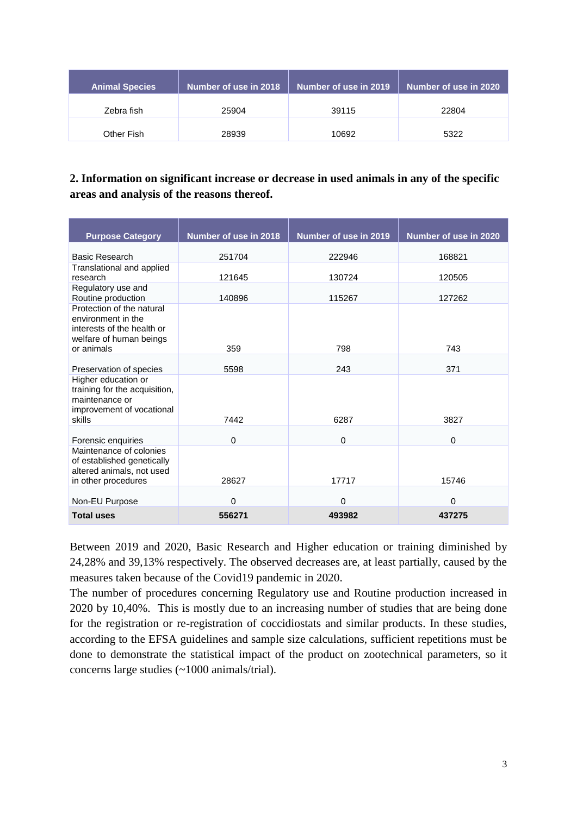| <b>Animal Species</b> | Number of use in 2018 | Number of use in 2019 | Number of use in 2020 |
|-----------------------|-----------------------|-----------------------|-----------------------|
| Zebra fish            | 25904                 | 39115                 | 22804                 |
| Other Fish            | 28939                 | 10692                 | 5322                  |

# **2. Information on significant increase or decrease in used animals in any of the specific areas and analysis of the reasons thereof.**

| <b>Purpose Category</b>                                                                                                | Number of use in 2018 | Number of use in 2019 | Number of use in 2020 |
|------------------------------------------------------------------------------------------------------------------------|-----------------------|-----------------------|-----------------------|
|                                                                                                                        |                       |                       |                       |
| Basic Research                                                                                                         | 251704                | 222946                | 168821                |
| Translational and applied<br>research                                                                                  | 121645                | 130724                | 120505                |
| Regulatory use and<br>Routine production                                                                               | 140896                | 115267                | 127262                |
| Protection of the natural<br>environment in the<br>interests of the health or<br>welfare of human beings<br>or animals | 359                   | 798                   | 743                   |
|                                                                                                                        |                       |                       |                       |
| Preservation of species                                                                                                | 5598                  | 243                   | 371                   |
| Higher education or<br>training for the acquisition,<br>maintenance or<br>improvement of vocational<br>skills          | 7442                  | 6287                  | 3827                  |
|                                                                                                                        |                       |                       |                       |
| Forensic enquiries                                                                                                     | $\mathbf 0$           | $\mathbf 0$           | $\mathbf 0$           |
| Maintenance of colonies<br>of established genetically<br>altered animals, not used<br>in other procedures              | 28627                 | 17717                 | 15746                 |
| Non-EU Purpose                                                                                                         | 0                     | 0                     | $\Omega$              |
| <b>Total uses</b>                                                                                                      | 556271                | 493982                | 437275                |

Between 2019 and 2020, Basic Research and Higher education or training diminished by 24,28% and 39,13% respectively. The observed decreases are, at least partially, caused by the measures taken because of the Covid19 pandemic in 2020.

The number of procedures concerning Regulatory use and Routine production increased in 2020 by 10,40%. This is mostly due to an increasing number of studies that are being done for the registration or re-registration of coccidiostats and similar products. In these studies, according to the EFSA guidelines and sample size calculations, sufficient repetitions must be done to demonstrate the statistical impact of the product on zootechnical parameters, so it concerns large studies (~1000 animals/trial).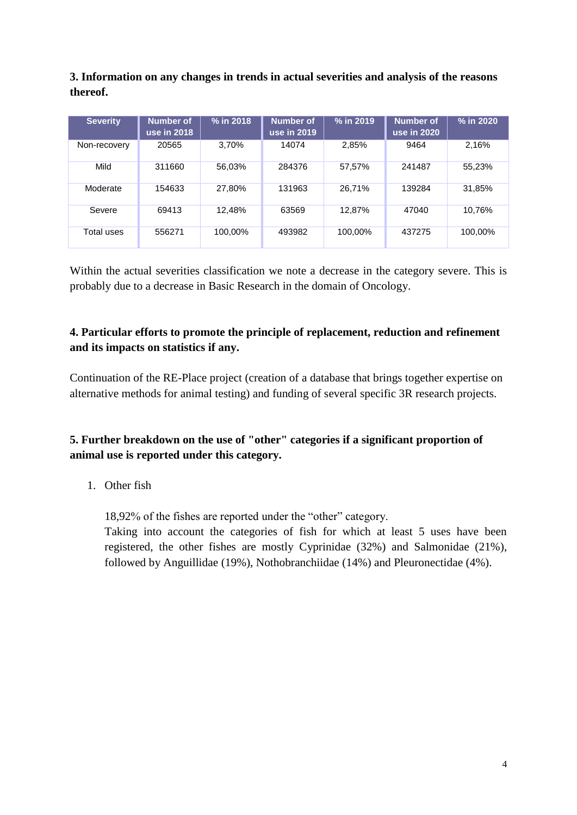**3. Information on any changes in trends in actual severities and analysis of the reasons thereof.**

| <b>Severity</b> | Number of<br>use in 2018 | % in 2018 | <b>Number of</b><br>use in 2019 | % in 2019 | <b>Number of</b><br>use in 2020 | % in 2020 |
|-----------------|--------------------------|-----------|---------------------------------|-----------|---------------------------------|-----------|
| Non-recovery    | 20565                    | 3.70%     | 14074                           | 2.85%     | 9464                            | 2,16%     |
| Mild            | 311660                   | 56,03%    | 284376                          | 57,57%    | 241487                          | 55,23%    |
| Moderate        | 154633                   | 27,80%    | 131963                          | 26,71%    | 139284                          | 31,85%    |
| Severe          | 69413                    | 12.48%    | 63569                           | 12,87%    | 47040                           | 10,76%    |
| Total uses      | 556271                   | 100.00%   | 493982                          | 100.00%   | 437275                          | 100.00%   |

Within the actual severities classification we note a decrease in the category severe. This is probably due to a decrease in Basic Research in the domain of Oncology.

## **4. Particular efforts to promote the principle of replacement, reduction and refinement and its impacts on statistics if any.**

Continuation of the RE-Place project (creation of a database that brings together expertise on alternative methods for animal testing) and funding of several specific 3R research projects.

# **5. Further breakdown on the use of "other" categories if a significant proportion of animal use is reported under this category.**

1. Other fish

18,92% of the fishes are reported under the "other" category.

Taking into account the categories of fish for which at least 5 uses have been registered, the other fishes are mostly Cyprinidae (32%) and Salmonidae (21%), followed by Anguillidae (19%), Nothobranchiidae (14%) and Pleuronectidae (4%).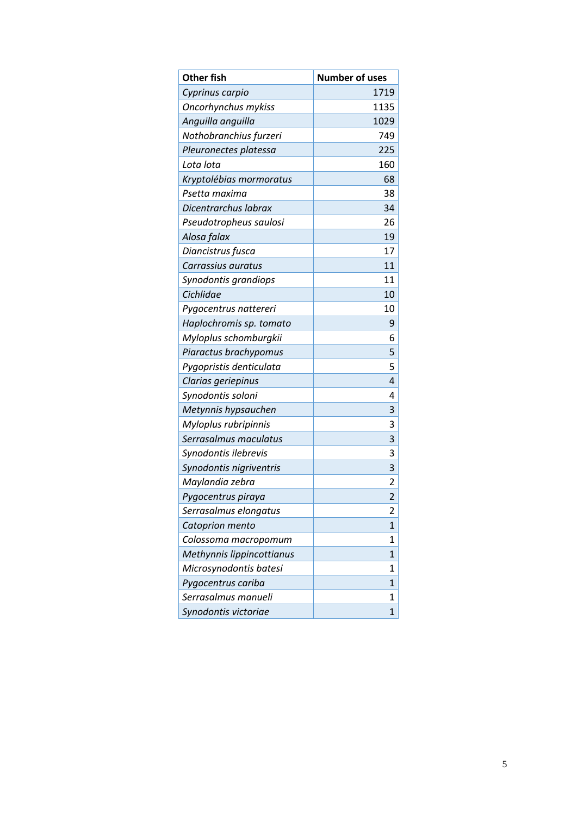| <b>Other fish</b>         | <b>Number of uses</b> |
|---------------------------|-----------------------|
| Cyprinus carpio           | 1719                  |
| Oncorhynchus mykiss       | 1135                  |
| Anguilla anguilla         | 1029                  |
| Nothobranchius furzeri    | 749                   |
| Pleuronectes platessa     | 225                   |
| Lota lota                 | 160                   |
| Kryptolébias mormoratus   | 68                    |
| Psetta maxima             | 38                    |
| Dicentrarchus labrax      | 34                    |
| Pseudotropheus saulosi    | 26                    |
| Alosa falax               | 19                    |
| Diancistrus fusca         | 17                    |
| Carrassius auratus        | 11                    |
| Synodontis grandiops      | 11                    |
| Cichlidae                 | 10                    |
| Pygocentrus nattereri     | 10                    |
| Haplochromis sp. tomato   | 9                     |
| Myloplus schomburgkii     | 6                     |
| Piaractus brachypomus     | 5                     |
| Pygopristis denticulata   | 5                     |
| Clarias geriepinus        | 4                     |
| Synodontis soloni         | 4                     |
| Metynnis hypsauchen       | 3                     |
| Myloplus rubripinnis      | 3                     |
| Serrasalmus maculatus     | 3                     |
| Synodontis ilebrevis      | 3                     |
| Synodontis nigriventris   | 3                     |
| Maylandia zebra           | 2                     |
| Pygocentrus piraya        | $\overline{2}$        |
| Serrasalmus elongatus     | 2                     |
| Catoprion mento           | 1                     |
| Colossoma macropomum      | 1                     |
| Methynnis lippincottianus | 1                     |
| Microsynodontis batesi    | 1                     |
| Pygocentrus cariba        | 1                     |
| Serrasalmus manueli       | 1                     |
| Synodontis victoriae      | 1                     |